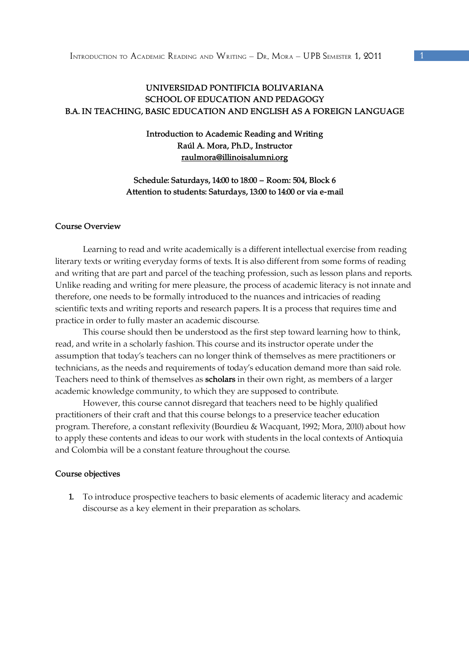# **UNIVERSIDAD PONTIFICIA BOLIVARIANA SCHOOL OF EDUCATION AND PEDAGOGY B.A. IN TEACHING, BASIC EDUCATION AND ENGLISH AS A FOREIGN LANGUAGE**

## **Introduction to Academic Reading and Writing Raúl A. Mora, Ph.D., Instructor raulmora@illinoisalumni.org**

# **Schedule: Saturdays, 14:00 to 18:00 – Room: 504, Block 6 Attention to students: Saturdays, 13:00 to 14:00 or via e-mail**

#### **Course Overview**

 Learning to read and write academically is a different intellectual exercise from reading literary texts or writing everyday forms of texts. It is also different from some forms of reading and writing that are part and parcel of the teaching profession, such as lesson plans and reports. Unlike reading and writing for mere pleasure, the process of academic literacy is not innate and therefore, one needs to be formally introduced to the nuances and intricacies of reading scientific texts and writing reports and research papers. It is a process that requires time and practice in order to fully master an academic discourse.

 This course should then be understood as the first step toward learning how to think, read, and write in a scholarly fashion. This course and its instructor operate under the assumption that today's teachers can no longer think of themselves as mere practitioners or technicians, as the needs and requirements of today's education demand more than said role. Teachers need to think of themselves as **scholars** in their own right, as members of a larger academic knowledge community, to which they are supposed to contribute.

 However, this course cannot disregard that teachers need to be highly qualified practitioners of their craft and that this course belongs to a preservice teacher education program. Therefore, a constant reflexivity (Bourdieu & Wacquant, 1992; Mora, 2010) about how to apply these contents and ideas to our work with students in the local contexts of Antioquia and Colombia will be a constant feature throughout the course.

#### **Course objectives**

**1.** To introduce prospective teachers to basic elements of academic literacy and academic discourse as a key element in their preparation as scholars.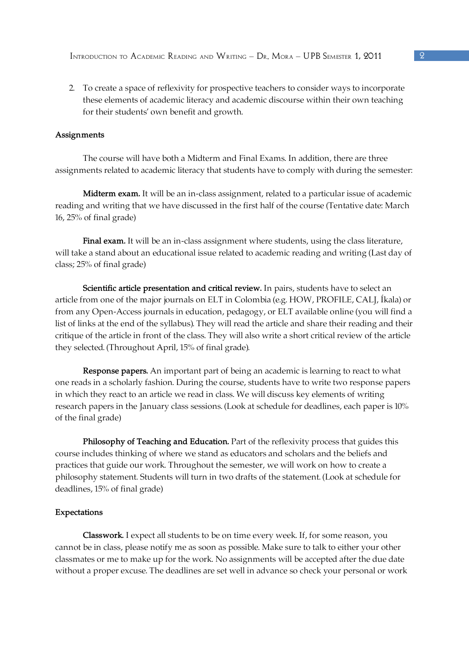2. To create a space of reflexivity for prospective teachers to consider ways to incorporate these elements of academic literacy and academic discourse within their own teaching for their students' own benefit and growth.

## **Assignments**

The course will have both a Midterm and Final Exams. In addition, there are three assignments related to academic literacy that students have to comply with during the semester:

**Midterm exam.** It will be an in-class assignment, related to a particular issue of academic reading and writing that we have discussed in the first half of the course (Tentative date: March 16, 25% of final grade)

**Final exam.** It will be an in-class assignment where students, using the class literature, will take a stand about an educational issue related to academic reading and writing (Last day of class; 25% of final grade)

**Scientific article presentation and critical review.** In pairs, students have to select an article from one of the major journals on ELT in Colombia (e.g. HOW, PROFILE, CALJ, Íkala) or from any Open-Access journals in education, pedagogy, or ELT available online (you will find a list of links at the end of the syllabus). They will read the article and share their reading and their critique of the article in front of the class. They will also write a short critical review of the article they selected. (Throughout April, 15% of final grade).

**Response papers.** An important part of being an academic is learning to react to what one reads in a scholarly fashion. During the course, students have to write two response papers in which they react to an article we read in class. We will discuss key elements of writing research papers in the January class sessions. (Look at schedule for deadlines, each paper is 10% of the final grade)

Philosophy of Teaching and Education. Part of the reflexivity process that guides this course includes thinking of where we stand as educators and scholars and the beliefs and practices that guide our work. Throughout the semester, we will work on how to create a philosophy statement. Students will turn in two drafts of the statement. (Look at schedule for deadlines, 15% of final grade)

#### **Expectations**

**Classwork.** I expect all students to be on time every week. If, for some reason, you cannot be in class, please notify me as soon as possible. Make sure to talk to either your other classmates or me to make up for the work. No assignments will be accepted after the due date without a proper excuse. The deadlines are set well in advance so check your personal or work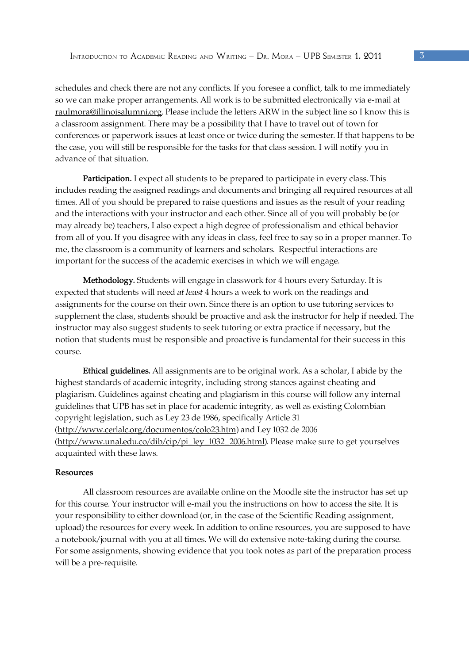schedules and check there are not any conflicts. If you foresee a conflict, talk to me immediately so we can make proper arrangements. All work is to be submitted electronically via e-mail at raulmora@illinoisalumni.org. Please include the letters ARW in the subject line so I know this is a classroom assignment. There may be a possibility that I have to travel out of town for conferences or paperwork issues at least once or twice during the semester. If that happens to be the case, you will still be responsible for the tasks for that class session. I will notify you in advance of that situation.

**Participation.** I expect all students to be prepared to participate in every class. This includes reading the assigned readings and documents and bringing all required resources at all times. All of you should be prepared to raise questions and issues as the result of your reading and the interactions with your instructor and each other. Since all of you will probably be (or may already be) teachers, I also expect a high degree of professionalism and ethical behavior from all of you. If you disagree with any ideas in class, feel free to say so in a proper manner. To me, the classroom is a community of learners and scholars. Respectful interactions are important for the success of the academic exercises in which we will engage.

**Methodology.** Students will engage in classwork for 4 hours every Saturday. It is expected that students will need *at least* 4 hours a week to work on the readings and assignments for the course on their own. Since there is an option to use tutoring services to supplement the class, students should be proactive and ask the instructor for help if needed. The instructor may also suggest students to seek tutoring or extra practice if necessary, but the notion that students must be responsible and proactive is fundamental for their success in this course.

**Ethical guidelines.** All assignments are to be original work. As a scholar, I abide by the highest standards of academic integrity, including strong stances against cheating and plagiarism. Guidelines against cheating and plagiarism in this course will follow any internal guidelines that UPB has set in place for academic integrity, as well as existing Colombian copyright legislation, such as Ley 23 de 1986, specifically Article 31 (http://www.cerlalc.org/documentos/colo23.htm) and Ley 1032 de 2006 (http://www.unal.edu.co/dib/cip/pi\_ley\_1032\_2006.html). Please make sure to get yourselves acquainted with these laws.

#### **Resources**

 All classroom resources are available online on the Moodle site the instructor has set up for this course. Your instructor will e-mail you the instructions on how to access the site. It is your responsibility to either download (or, in the case of the Scientific Reading assignment, upload) the resources for every week. In addition to online resources, you are supposed to have a notebook/journal with you at all times. We will do extensive note-taking during the course. For some assignments, showing evidence that you took notes as part of the preparation process will be a pre-requisite.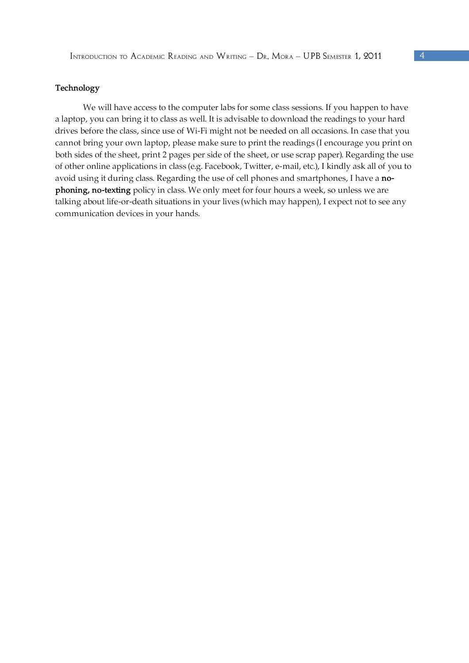#### **Technology**

We will have access to the computer labs for some class sessions. If you happen to have a laptop, you can bring it to class as well. It is advisable to download the readings to your hard drives before the class, since use of Wi-Fi might not be needed on all occasions. In case that you cannot bring your own laptop, please make sure to print the readings (I encourage you print on both sides of the sheet, print 2 pages per side of the sheet, or use scrap paper). Regarding the use of other online applications in class (e.g. Facebook, Twitter, e-mail, etc.), I kindly ask all of you to avoid using it during class. Regarding the use of cell phones and smartphones, I have a **nophoning, no-texting** policy in class. We only meet for four hours a week, so unless we are talking about life-or-death situations in your lives (which may happen), I expect not to see any communication devices in your hands.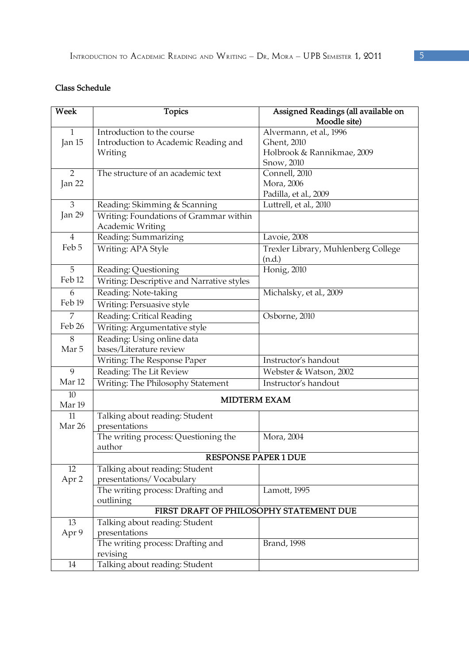# **Class Schedule**

| Week              | <b>Topics</b>                                        | Assigned Readings (all available on<br>Moodle site) |
|-------------------|------------------------------------------------------|-----------------------------------------------------|
| $\mathbf{1}$      | Introduction to the course                           | Alvermann, et al., 1996                             |
| Jan 15            | Introduction to Academic Reading and                 | Ghent, 2010                                         |
|                   | Writing                                              | Holbrook & Rannikmae, 2009                          |
|                   |                                                      | Snow, 2010                                          |
| $\overline{2}$    | The structure of an academic text                    | Connell, 2010                                       |
| Jan 22            |                                                      | Mora, 2006                                          |
|                   |                                                      | Padilla, et al., 2009                               |
| 3                 | Reading: Skimming & Scanning                         | Luttrell, et al., 2010                              |
| Jan 29            | Writing: Foundations of Grammar within               |                                                     |
|                   | Academic Writing                                     |                                                     |
| $\overline{4}$    | Reading: Summarizing                                 | Lavoie, 2008                                        |
| Feb 5             | Writing: APA Style                                   | Trexler Library, Muhlenberg College                 |
|                   |                                                      | (n.d.)                                              |
| 5                 | Reading: Questioning                                 | Honig, 2010                                         |
| Feb <sub>12</sub> | Writing: Descriptive and Narrative styles            |                                                     |
| 6                 | Reading: Note-taking                                 | Michalsky, et al., 2009                             |
| Feb <sub>19</sub> | Writing: Persuasive style                            |                                                     |
| 7                 | Reading: Critical Reading                            | Osborne, 2010                                       |
| Feb 26            | Writing: Argumentative style                         |                                                     |
| 8                 | Reading: Using online data                           |                                                     |
| Mar 5             | bases/Literature review                              |                                                     |
|                   | Writing: The Response Paper                          | Instructor's handout                                |
| 9                 | Reading: The Lit Review                              | Webster & Watson, 2002                              |
| Mar <sub>12</sub> | Writing: The Philosophy Statement                    | Instructor's handout                                |
| 10<br>Mar 19      | <b>MIDTERM EXAM</b>                                  |                                                     |
| 11                | Talking about reading: Student                       |                                                     |
| Mar 26            | presentations                                        |                                                     |
|                   | The writing process: Questioning the                 | Mora, 2004                                          |
|                   | author                                               |                                                     |
|                   | <b>RESPONSE PAPER 1 DUE</b>                          |                                                     |
| 12                | Talking about reading: Student                       |                                                     |
| Apr 2             | presentations/Vocabulary                             |                                                     |
|                   | The writing process: Drafting and                    | Lamott, 1995                                        |
|                   | outlining<br>FIRST DRAFT OF PHILOSOPHY STATEMENT DUE |                                                     |
| 13                | Talking about reading: Student                       |                                                     |
| Apr 9             | presentations                                        |                                                     |
|                   | The writing process: Drafting and                    | <b>Brand</b> , 1998                                 |
|                   | revising                                             |                                                     |
| 14                | Talking about reading: Student                       |                                                     |
|                   |                                                      |                                                     |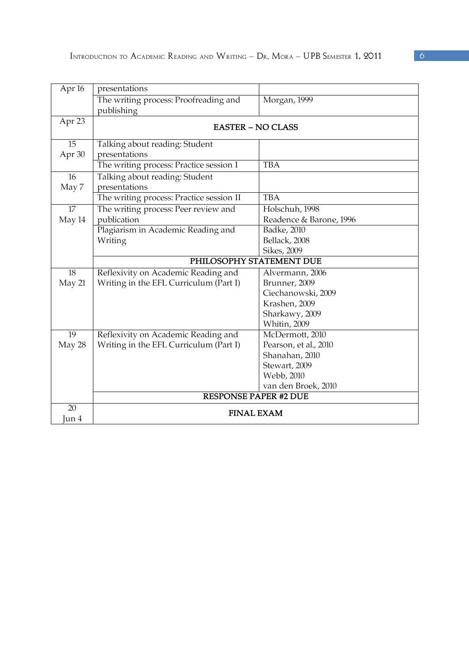| Apr <sub>16</sub> | presentations                                       |                         |  |
|-------------------|-----------------------------------------------------|-------------------------|--|
|                   | The writing process: Proofreading and<br>publishing | Morgan, 1999            |  |
| Apr 23            | <b>EASTER - NO CLASS</b>                            |                         |  |
| 15<br>Apr 30      | Talking about reading: Student<br>presentations     |                         |  |
|                   | The writing process: Practice session I             | <b>TBA</b>              |  |
| 16<br>May 7       | Talking about reading: Student<br>presentations     |                         |  |
|                   | The writing process: Practice session II            | <b>TBA</b>              |  |
| 17                | The writing process: Peer review and                | Holschuh, 1998          |  |
| May 14            | publication                                         | Readence & Barone, 1996 |  |
|                   | Plagiarism in Academic Reading and                  | Badke, 2010             |  |
|                   | Writing                                             | Bellack, 2008           |  |
|                   |                                                     | Sikes, 2009             |  |
|                   | PHILOSOPHY STATEMENT DUE                            |                         |  |
| 18                | Reflexivity on Academic Reading and                 | Alvermann, 2006         |  |
| May 21            | Writing in the EFL Curriculum (Part I)              | Brunner, 2009           |  |
|                   |                                                     | Ciechanowski, 2009      |  |
|                   |                                                     | Krashen, 2009           |  |
|                   |                                                     | Sharkawy, 2009          |  |
|                   |                                                     | Whitin, 2009            |  |
| 19                | Reflexivity on Academic Reading and                 | McDermott, 2010         |  |
| May 28            | Writing in the EFL Curriculum (Part I)              | Pearson, et al., 2010   |  |
|                   |                                                     | Shanahan, 2010          |  |
|                   |                                                     | Stewart, 2009           |  |
|                   |                                                     | Webb, 2010              |  |
|                   |                                                     | van den Broek, 2010     |  |
|                   | <b>RESPONSE PAPER #2 DUE</b>                        |                         |  |
| 20<br>Jun 4       | <b>FINAL EXAM</b>                                   |                         |  |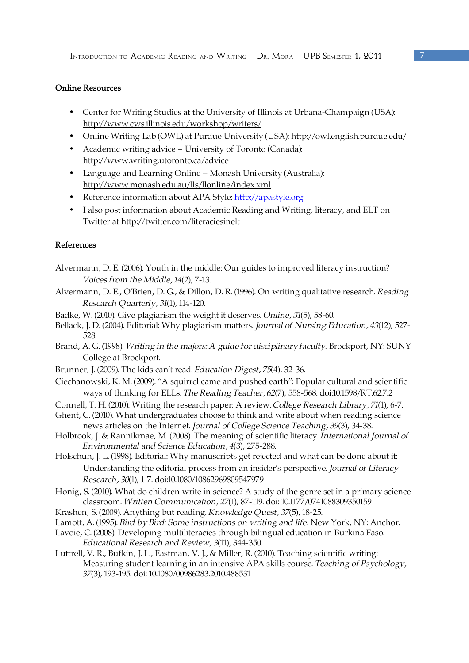## **Online Resources**

- Center for Writing Studies at the University of Illinois at Urbana-Champaign (USA): http://www.cws.illinois.edu/workshop/writers/
- Online Writing Lab (OWL) at Purdue University (USA): http://owl.english.purdue.edu/
- Academic writing advice University of Toronto (Canada): http://www.writing.utoronto.ca/advice
- Language and Learning Online Monash University (Australia): http://www.monash.edu.au/lls/llonline/index.xml
- Reference information about APA Style: http://apastyle.org
- I also post information about Academic Reading and Writing, literacy, and ELT on Twitter at http://twitter.com/literaciesinelt

## **References**

- Alvermann, D. E. (2006). Youth in the middle: Our guides to improved literacy instruction? *Voices from the Middle, 14*(2), 7-13.
- Alvermann, D. E., O'Brien, D. G., & Dillon, D. R. (1996). On writing qualitative research. *Reading Research Quarterly, 31*(1), 114-120.
- Badke, W. (2010). Give plagiarism the weight it deserves. *Online, 31*(5), 58-60.
- Bellack, J. D. (2004). Editorial: Why plagiarism matters. *Journal of Nursing Education, 43*(12), 527- 528.
- Brand, A. G. (1998). *Writing in the majors: A guide for disciplinary faculty.* Brockport, NY: SUNY College at Brockport.
- Brunner, J. (2009). The kids can't read. *Education Digest, 75*(4), 32-36.
- Ciechanowski, K. M. (2009). "A squirrel came and pushed earth": Popular cultural and scientific ways of thinking for ELLs. *The Reading Teacher, 62*(7), 558-568. doi:10.1598/RT.62.7.2
- Connell, T. H. (2010). Writing the research paper: A review. *College Research Library, 71*(1), 6-7.
- Ghent, C. (2010). What undergraduates choose to think and write about when reading science news articles on the Internet. *Journal of College Science Teaching, 39*(3), 34-38.
- Holbrook, J. & Rannikmae, M. (2008). The meaning of scientific literacy. *International Journal of Environmental and Science Education, 4*(3), 275-288.
- Holschuh, J. L. (1998). Editorial: Why manuscripts get rejected and what can be done about it: Understanding the editorial process from an insider's perspective. *Journal of Literacy Research, 30*(1), 1-7. doi:10.1080/10862969809547979
- Honig, S. (2010). What do children write in science? A study of the genre set in a primary science classroom. *Written Communication, 27*(1), 87-119. doi: 10.1177/0741088309350159
- Krashen, S. (2009). Anything but reading. *Knowledge Quest, 37*(5), 18-25.
- Lamott, A. (1995). *Bird by Bird: Some instructions on writing and life.* New York, NY: Anchor.
- Lavoie, C. (2008). Developing multiliteracies through bilingual education in Burkina Faso. *Educational Research and Review, 3*(11), 344-350.
- Luttrell, V. R., Bufkin, J. L., Eastman, V. J., & Miller, R. (2010). Teaching scientific writing: Measuring student learning in an intensive APA skills course. *Teaching of Psychology, 37*(3), 193-195. doi: 10.1080/00986283.2010.488531